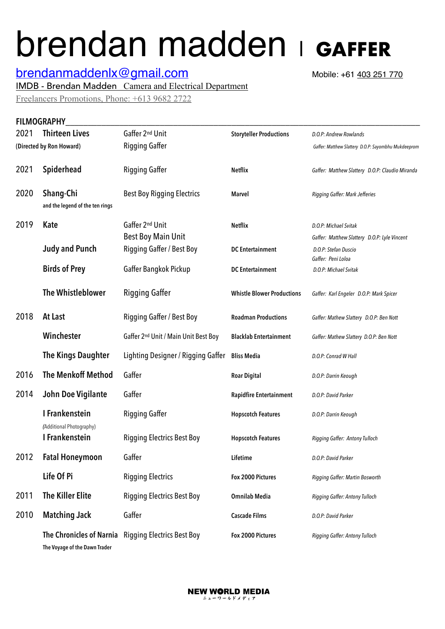## brendan madden | **GAFFER**

## **[brendanmaddenlx@gmail.com](mailto:brendanmaddenlx@gmail.com)** Mobile: +61 403 251 770

IMDB - Brendan Madden Camera and Electrical Department

Freelancers Promotions, Phone: +613 9682 2722

## FILMOGRAPHY

| 2021 | <b>Thirteen Lives</b>                        | Gaffer 2 <sup>nd</sup> Unit                         | <b>Storyteller Productions</b>    | D.O.P: Andrew Rowlands                                                |
|------|----------------------------------------------|-----------------------------------------------------|-----------------------------------|-----------------------------------------------------------------------|
|      | (Directed by Ron Howard)                     | Rigging Gaffer                                      |                                   | Gaffer: Matthew Slattery D.O.P: Sayombhu Mukdeeprom                   |
| 2021 | Spiderhead                                   | Rigging Gaffer                                      | <b>Netflix</b>                    | Gaffer: Matthew Slattery D.O.P: Claudio Miranda                       |
| 2020 | Shang-Chi<br>and the legend of the ten rings | <b>Best Boy Rigging Electrics</b>                   | <b>Marvel</b>                     | Rigging Gaffer: Mark Jefferies                                        |
| 2019 | <b>Kate</b>                                  | Gaffer 2nd Unit<br><b>Best Boy Main Unit</b>        | <b>Netflix</b>                    | D.O.P: Michael Svitak<br>Gaffer: Matthew Slattery D.O.P: Lyle Vincent |
|      | <b>Judy and Punch</b>                        | <b>Rigging Gaffer / Best Boy</b>                    | <b>DC</b> Entertainment           | D.O.P: Stefan Duscio<br>Gaffer: Peni Loloa                            |
|      | <b>Birds of Prey</b>                         | Gaffer Bangkok Pickup                               | <b>DC</b> Entertainment           | D.O.P: Michael Svitak                                                 |
|      | <b>The Whistleblower</b>                     | Rigging Gaffer                                      | <b>Whistle Blower Productions</b> | Gaffer: Karl Engeler D.O.P: Mark Spicer                               |
| 2018 | At Last                                      | Rigging Gaffer / Best Boy                           | <b>Roadman Productions</b>        | Gaffer: Mathew Slattery D.O.P: Ben Nott                               |
|      | Winchester                                   | Gaffer 2 <sup>nd</sup> Unit / Main Unit Best Boy    | <b>Blacklab Entertainment</b>     | Gaffer: Mathew Slattery D.O.P: Ben Nott                               |
|      | <b>The Kings Daughter</b>                    | Lighting Designer / Rigging Gaffer                  | <b>Bliss Media</b>                | D.O.P: Conrad W Hall                                                  |
| 2016 | <b>The Menkoff Method</b>                    | Gaffer                                              | <b>Roar Digital</b>               | D.O.P: Darrin Keough                                                  |
| 2014 | John Doe Vigilante                           | Gaffer                                              | <b>Rapidfire Entertainment</b>    | D.O.P: David Parker                                                   |
|      | I Frankenstein<br>(Additional Photography)   | Rigging Gaffer                                      | <b>Hopscotch Features</b>         | D.O.P: Darrin Keough                                                  |
|      | I Frankenstein                               | <b>Rigging Electrics Best Boy</b>                   | <b>Hopscotch Features</b>         | Rigging Gaffer: Antony Tulloch                                        |
| 2012 | <b>Fatal Honeymoon</b>                       | Gaffer                                              | Lifetime                          | D.O.P: David Parker                                                   |
|      | Life Of Pi                                   | <b>Rigging Electrics</b>                            | Fox 2000 Pictures                 | Rigging Gaffer: Martin Bosworth                                       |
| 2011 | <b>The Killer Elite</b>                      | <b>Rigging Electrics Best Boy</b>                   | <b>Omnilab Media</b>              | Rigging Gaffer: Antony Tulloch                                        |
| 2010 | <b>Matching Jack</b>                         | Gaffer                                              | <b>Cascade Films</b>              | D.O.P: David Parker                                                   |
|      | The Voyage of the Dawn Trader                | The Chronicles of Narnia Rigging Electrics Best Boy | Fox 2000 Pictures                 | Rigging Gaffer: Antony Tulloch                                        |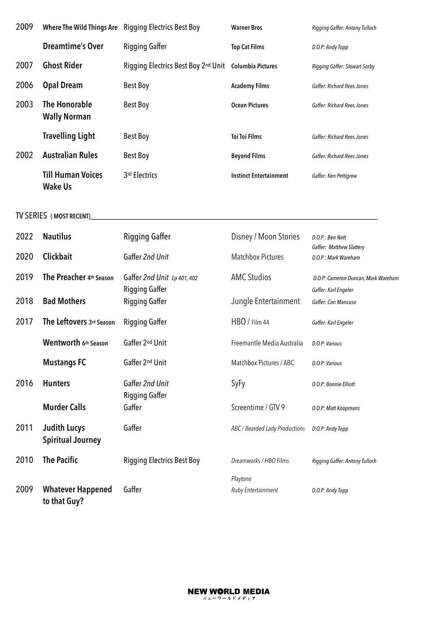| 2009                    | <b>Where The Wild Things Are</b>                | <b>Rigging Electrics Best Boy</b>              | <b>Warner Bros</b>             | Rigging Gaffer: Antony Tulloch                  |  |  |
|-------------------------|-------------------------------------------------|------------------------------------------------|--------------------------------|-------------------------------------------------|--|--|
|                         | <b>Dreamtime's Over</b>                         | <b>Rigging Gaffer</b>                          | <b>Top Cat Films</b>           | D.O.P: Andy Topp                                |  |  |
| 2007                    | <b>Ghost Rider</b>                              | Rigging Electrics Best Boy 2nd Unit            | <b>Columbia Pictures</b>       | Rigging Gaffer: Stewart Sorby                   |  |  |
| 2006                    | <b>Opal Dream</b>                               | <b>Best Boy</b>                                | <b>Academy Films</b>           | Gaffer: Richard Rees Jones                      |  |  |
| 2003                    | <b>The Honorable</b><br><b>Wally Norman</b>     | <b>Best Boy</b>                                | <b>Ocean Pictures</b>          | Gaffer: Richard Rees Jones                      |  |  |
|                         | <b>Travelling Light</b>                         | <b>Best Boy</b>                                | <b>Toi Toi Films</b>           | <b>Gaffer: Richard Rees Jones</b>               |  |  |
| 2002                    | <b>Australian Rules</b>                         | <b>Best Boy</b>                                | <b>Beyond Films</b>            | Gaffer: Richard Rees Jones                      |  |  |
|                         | <b>Till Human Voices</b><br><b>Wake Us</b>      | 3rd Electrics                                  | <b>Instinct Entertainment</b>  | Gaffer: Ken Pettigrew                           |  |  |
| TV SERIES (MOST RECENT) |                                                 |                                                |                                |                                                 |  |  |
| 2022                    | <b>Nautilus</b>                                 | <b>Rigging Gaffer</b>                          | Disney / Moon Stories          | D.O.P: Ben Nott                                 |  |  |
| 2020                    | Clickbait                                       | Gaffer 2nd Unit                                | <b>Matchbox Pictures</b>       | Gaffer: Matthew Slattery<br>D.O.P: Mark Wareham |  |  |
| 2019                    | The Preacher 4th Season                         | Gaffer 2nd Unit Ep 401, 402                    | <b>AMC Studios</b>             | D.O.P: Cameron Duncan, Mark Wareham             |  |  |
| 2018                    | <b>Bad Mothers</b>                              | <b>Rigging Gaffer</b><br><b>Rigging Gaffer</b> | Jungle Entertainment           | Gaffer: Karl Engeler<br>Gaffer: Con Mancuso     |  |  |
| 2017                    | The Leftovers 3rd Season                        | <b>Rigging Gaffer</b>                          | HBO / Film 44                  | Gaffer: Karl Engeler                            |  |  |
|                         | Wentworth 6th Season                            | Gaffer 2nd Unit                                | Freemantle Media Australia     | D.O.P: Various                                  |  |  |
|                         | <b>Mustangs FC</b>                              | Gaffer 2nd Unit                                | Matchbox Pictures / ABC        | D.O.P: Various                                  |  |  |
| 2016                    | <b>Hunters</b>                                  | Gaffer 2nd Unit                                | SyFy                           | D.O.P: Bonnie Elliott                           |  |  |
|                         | <b>Murder Calls</b>                             | <b>Rigging Gaffer</b><br>Gaffer                | Screentime / GTV 9             | D.O.P: Matt Koopmans                            |  |  |
| 2011                    | <b>Judith Lucys</b><br><b>Spiritual Journey</b> | Gaffer                                         | ABC / Bearded Lady Productions | D.O.P: Andy Topp                                |  |  |
| 2010                    | <b>The Pacific</b>                              | <b>Rigging Electrics Best Boy</b>              | Dreamworks / HBO Films         | Rigging Gaffer: Antony Tulloch                  |  |  |
| 2009                    | <b>Whatever Happened</b><br>to that Guy?        | Gaffer                                         | Playtone<br>Ruby Entertainment | D.O.P: Andy Topp                                |  |  |